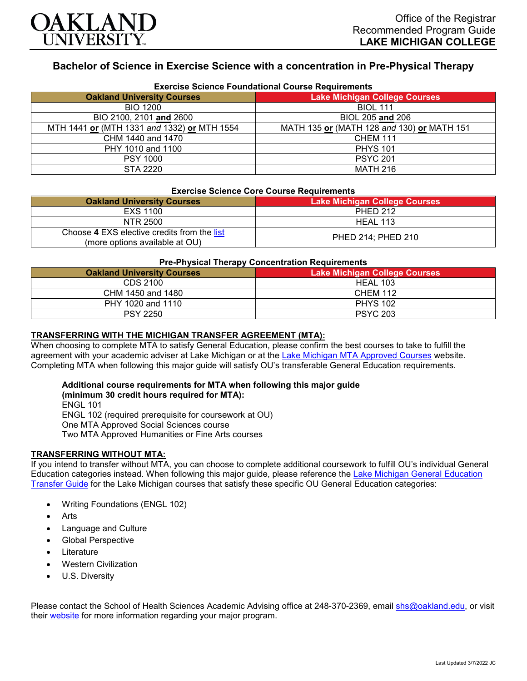

# **Bachelor of Science in Exercise Science with a concentration in Pre-Physical Therapy**

| <b>Exercise Science Foundational Course Requirements</b> |                                            |  |
|----------------------------------------------------------|--------------------------------------------|--|
| <b>Oakland University Courses</b>                        | <b>Lake Michigan College Courses</b>       |  |
| <b>BIO 1200</b>                                          | <b>BIOL 111</b>                            |  |
| BIO 2100, 2101 and 2600                                  | BIOL 205 and 206                           |  |
| MTH 1441 or (MTH 1331 and 1332) or MTH 1554              | MATH 135 or (MATH 128 and 130) or MATH 151 |  |
| CHM 1440 and 1470                                        | <b>CHEM 111</b>                            |  |
| PHY 1010 and 1100                                        | <b>PHYS 101</b>                            |  |
| <b>PSY 1000</b>                                          | <b>PSYC 201</b>                            |  |
| STA 2220                                                 | <b>MATH 216</b>                            |  |

#### **Exercise Science Core Course Requirements**

| <b>Oakland University Courses</b>                                             | <b>Lake Michigan College Courses</b> |
|-------------------------------------------------------------------------------|--------------------------------------|
| EXS 1100                                                                      | <b>PHED 212</b>                      |
| NTR 2500                                                                      | HEAL 113                             |
| Choose 4 EXS elective credits from the list<br>(more options available at OU) | PHED 214; PHED 210                   |

#### **Pre-Physical Therapy Concentration Requirements**

| - - - -<br><b>Oakland University Courses</b> | <b>Lake Michigan College Courses</b> |
|----------------------------------------------|--------------------------------------|
| CDS 2100                                     | HEAL 103                             |
| CHM 1450 and 1480                            | <b>CHEM 112</b>                      |
| PHY 1020 and 1110                            | <b>PHYS 102</b>                      |
| <b>PSY 2250</b>                              | <b>PSYC 203</b>                      |

### **TRANSFERRING WITH THE MICHIGAN TRANSFER AGREEMENT (MTA):**

When choosing to complete MTA to satisfy General Education, please confirm the best courses to take to fulfill the agreement with your academic adviser at Lake Michigan or at the [Lake Michigan MTA Approved Courses](https://www.lakemichigancollege.edu/academics/educational-goals/transfer/transfer-information) website. Completing MTA when following this major guide will satisfy OU's transferable General Education requirements.

## **Additional course requirements for MTA when following this major guide**

**(minimum 30 credit hours required for MTA):** ENGL 101 ENGL 102 (required prerequisite for coursework at OU) One MTA Approved Social Sciences course Two MTA Approved Humanities or Fine Arts courses

#### **TRANSFERRING WITHOUT MTA:**

If you intend to transfer without MTA, you can choose to complete additional coursework to fulfill OU's individual General Education categories instead. When following this major guide, please reference the [Lake Michigan General Education](https://www.oakland.edu/Assets/Oakland/program-guides/lake-michigan-college/university-general-education-requirements/Lake%20Michigan%20Gen%20Ed.pdf)  [Transfer Guide](https://www.oakland.edu/Assets/Oakland/program-guides/lake-michigan-college/university-general-education-requirements/Lake%20Michigan%20Gen%20Ed.pdf) for the Lake Michigan courses that satisfy these specific OU General Education categories:

- Writing Foundations (ENGL 102)
- **Arts**
- Language and Culture
- Global Perspective
- **Literature**
- Western Civilization
- U.S. Diversity

Please contact the School of Health Sciences Academic Advising office at 248-370-2369, email [shs@oakland.edu,](mailto:shs@oakland.edu) or visit their [website](http://www.oakland.edu/shs/advising) for more information regarding your major program.